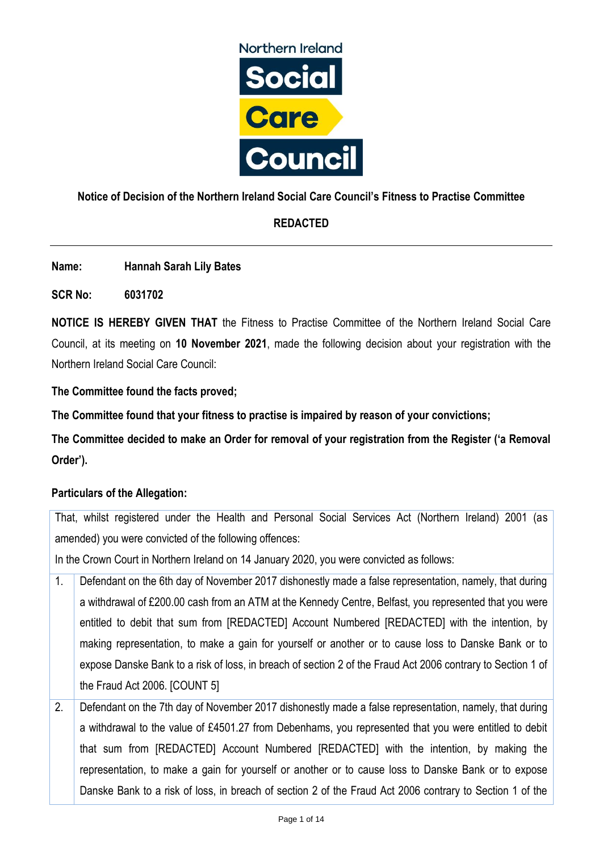

## **Notice of Decision of the Northern Ireland Social Care Council's Fitness to Practise Committee**

# **REDACTED**

**Name: Hannah Sarah Lily Bates**

**SCR No: 6031702**

**NOTICE IS HEREBY GIVEN THAT** the Fitness to Practise Committee of the Northern Ireland Social Care Council, at its meeting on **10 November 2021**, made the following decision about your registration with the Northern Ireland Social Care Council:

**The Committee found the facts proved;**

**The Committee found that your fitness to practise is impaired by reason of your convictions;**

**The Committee decided to make an Order for removal of your registration from the Register ('a Removal Order').**

## **Particulars of the Allegation:**

That, whilst registered under the Health and Personal Social Services Act (Northern Ireland) 2001 (as amended) you were convicted of the following offences:

In the Crown Court in Northern Ireland on 14 January 2020, you were convicted as follows:

- 1. Defendant on the 6th day of November 2017 dishonestly made a false representation, namely, that during a withdrawal of £200.00 cash from an ATM at the Kennedy Centre, Belfast, you represented that you were entitled to debit that sum from [REDACTED] Account Numbered [REDACTED] with the intention, by making representation, to make a gain for yourself or another or to cause loss to Danske Bank or to expose Danske Bank to a risk of loss, in breach of section 2 of the Fraud Act 2006 contrary to Section 1 of the Fraud Act 2006. [COUNT 5]
- 2. Defendant on the 7th day of November 2017 dishonestly made a false representation, namely, that during a withdrawal to the value of £4501.27 from Debenhams, you represented that you were entitled to debit that sum from [REDACTED] Account Numbered [REDACTED] with the intention, by making the representation, to make a gain for yourself or another or to cause loss to Danske Bank or to expose Danske Bank to a risk of loss, in breach of section 2 of the Fraud Act 2006 contrary to Section 1 of the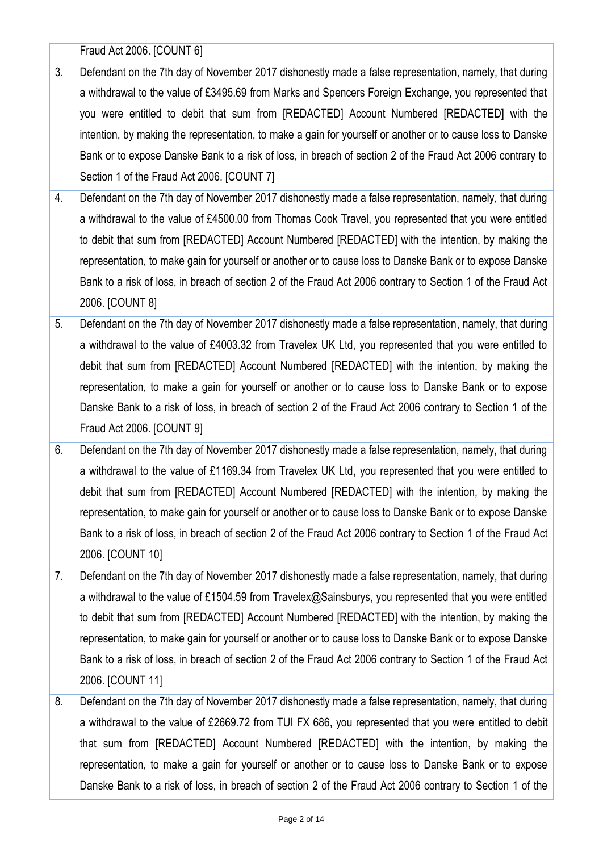|    | Fraud Act 2006. [COUNT 6]                                                                                   |
|----|-------------------------------------------------------------------------------------------------------------|
| 3. | Defendant on the 7th day of November 2017 dishonestly made a false representation, namely, that during      |
|    | a withdrawal to the value of £3495.69 from Marks and Spencers Foreign Exchange, you represented that        |
|    | you were entitled to debit that sum from [REDACTED] Account Numbered [REDACTED] with the                    |
|    | intention, by making the representation, to make a gain for yourself or another or to cause loss to Danske  |
|    | Bank or to expose Danske Bank to a risk of loss, in breach of section 2 of the Fraud Act 2006 contrary to   |
|    | Section 1 of the Fraud Act 2006. [COUNT 7]                                                                  |
| 4. | Defendant on the 7th day of November 2017 dishonestly made a false representation, namely, that during      |
|    | a withdrawal to the value of £4500.00 from Thomas Cook Travel, you represented that you were entitled       |
|    | to debit that sum from [REDACTED] Account Numbered [REDACTED] with the intention, by making the             |
|    | representation, to make gain for yourself or another or to cause loss to Danske Bank or to expose Danske    |
|    | Bank to a risk of loss, in breach of section 2 of the Fraud Act 2006 contrary to Section 1 of the Fraud Act |
|    | 2006. [COUNT 8]                                                                                             |
| 5. | Defendant on the 7th day of November 2017 dishonestly made a false representation, namely, that during      |
|    | a withdrawal to the value of £4003.32 from Travelex UK Ltd, you represented that you were entitled to       |
|    | debit that sum from [REDACTED] Account Numbered [REDACTED] with the intention, by making the                |
|    | representation, to make a gain for yourself or another or to cause loss to Danske Bank or to expose         |
|    | Danske Bank to a risk of loss, in breach of section 2 of the Fraud Act 2006 contrary to Section 1 of the    |
|    | Fraud Act 2006. [COUNT 9]                                                                                   |
| 6. | Defendant on the 7th day of November 2017 dishonestly made a false representation, namely, that during      |
|    | a withdrawal to the value of £1169.34 from Travelex UK Ltd, you represented that you were entitled to       |
|    | debit that sum from [REDACTED] Account Numbered [REDACTED] with the intention, by making the                |
|    | representation, to make gain for yourself or another or to cause loss to Danske Bank or to expose Danske    |
|    | Bank to a risk of loss, in breach of section 2 of the Fraud Act 2006 contrary to Section 1 of the Fraud Act |
|    |                                                                                                             |
|    | 2006. [COUNT 10]                                                                                            |
| 7. | Defendant on the 7th day of November 2017 dishonestly made a false representation, namely, that during      |
|    | a withdrawal to the value of £1504.59 from Travelex@Sainsburys, you represented that you were entitled      |
|    | to debit that sum from [REDACTED] Account Numbered [REDACTED] with the intention, by making the             |
|    | representation, to make gain for yourself or another or to cause loss to Danske Bank or to expose Danske    |
|    | Bank to a risk of loss, in breach of section 2 of the Fraud Act 2006 contrary to Section 1 of the Fraud Act |
|    | 2006. [COUNT 11]                                                                                            |
| 8. | Defendant on the 7th day of November 2017 dishonestly made a false representation, namely, that during      |
|    | a withdrawal to the value of £2669.72 from TUI FX 686, you represented that you were entitled to debit      |
|    | that sum from [REDACTED] Account Numbered [REDACTED] with the intention, by making the                      |
|    | representation, to make a gain for yourself or another or to cause loss to Danske Bank or to expose         |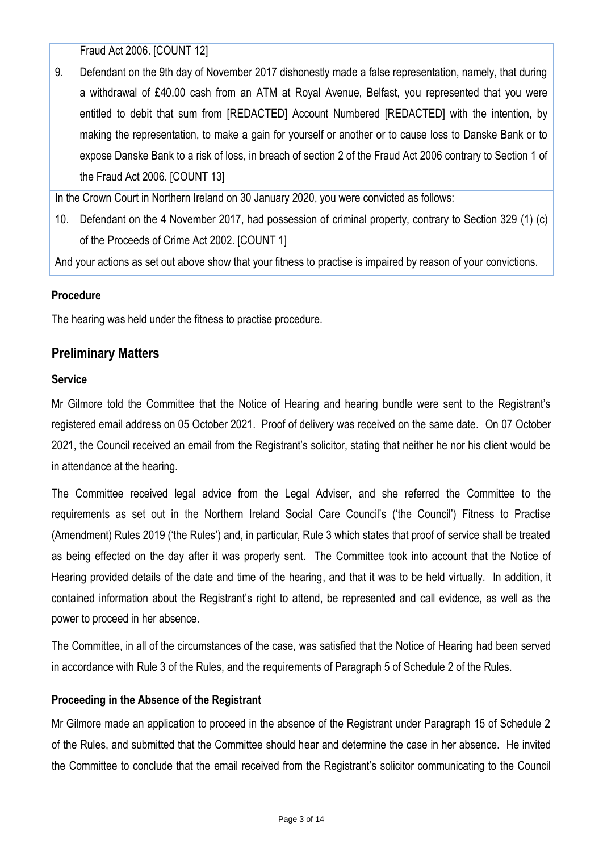Fraud Act 2006. [COUNT 12]

9. Defendant on the 9th day of November 2017 dishonestly made a false representation, namely, that during a withdrawal of £40.00 cash from an ATM at Royal Avenue, Belfast, you represented that you were entitled to debit that sum from [REDACTED] Account Numbered [REDACTED] with the intention, by making the representation, to make a gain for yourself or another or to cause loss to Danske Bank or to expose Danske Bank to a risk of loss, in breach of section 2 of the Fraud Act 2006 contrary to Section 1 of the Fraud Act 2006. [COUNT 13]

In the Crown Court in Northern Ireland on 30 January 2020, you were convicted as follows:

10. Defendant on the 4 November 2017, had possession of criminal property, contrary to Section 329 (1) (c) of the Proceeds of Crime Act 2002. [COUNT 1]

And your actions as set out above show that your fitness to practise is impaired by reason of your convictions.

### **Procedure**

The hearing was held under the fitness to practise procedure.

## **Preliminary Matters**

### **Service**

Mr Gilmore told the Committee that the Notice of Hearing and hearing bundle were sent to the Registrant's registered email address on 05 October 2021. Proof of delivery was received on the same date. On 07 October 2021, the Council received an email from the Registrant's solicitor, stating that neither he nor his client would be in attendance at the hearing.

The Committee received legal advice from the Legal Adviser, and she referred the Committee to the requirements as set out in the Northern Ireland Social Care Council's ('the Council') Fitness to Practise (Amendment) Rules 2019 ('the Rules') and, in particular, Rule 3 which states that proof of service shall be treated as being effected on the day after it was properly sent. The Committee took into account that the Notice of Hearing provided details of the date and time of the hearing, and that it was to be held virtually. In addition, it contained information about the Registrant's right to attend, be represented and call evidence, as well as the power to proceed in her absence.

The Committee, in all of the circumstances of the case, was satisfied that the Notice of Hearing had been served in accordance with Rule 3 of the Rules, and the requirements of Paragraph 5 of Schedule 2 of the Rules.

### **Proceeding in the Absence of the Registrant**

Mr Gilmore made an application to proceed in the absence of the Registrant under Paragraph 15 of Schedule 2 of the Rules, and submitted that the Committee should hear and determine the case in her absence. He invited the Committee to conclude that the email received from the Registrant's solicitor communicating to the Council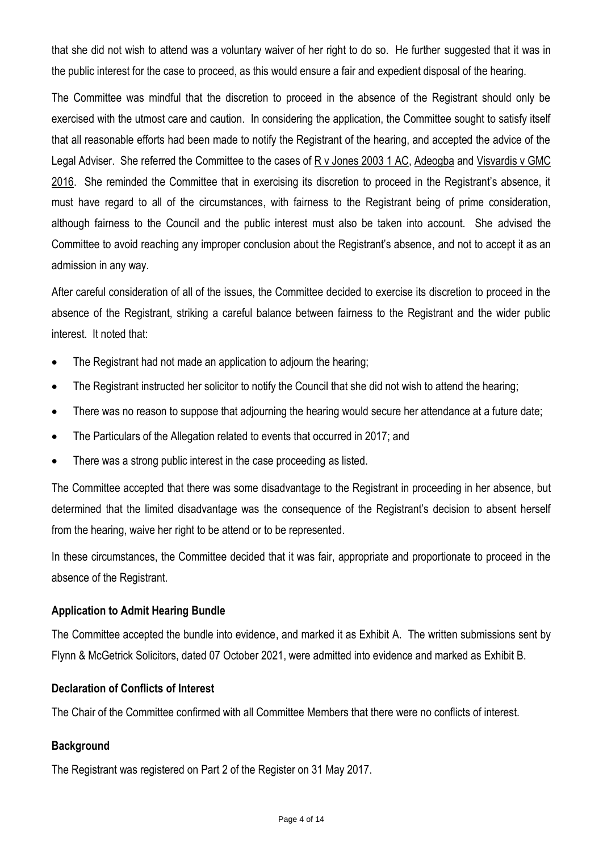that she did not wish to attend was a voluntary waiver of her right to do so. He further suggested that it was in the public interest for the case to proceed, as this would ensure a fair and expedient disposal of the hearing.

The Committee was mindful that the discretion to proceed in the absence of the Registrant should only be exercised with the utmost care and caution. In considering the application, the Committee sought to satisfy itself that all reasonable efforts had been made to notify the Registrant of the hearing, and accepted the advice of the Legal Adviser. She referred the Committee to the cases of R v Jones 2003 1 AC, Adeogba and Visvardis v GMC 2016. She reminded the Committee that in exercising its discretion to proceed in the Registrant's absence, it must have regard to all of the circumstances, with fairness to the Registrant being of prime consideration, although fairness to the Council and the public interest must also be taken into account. She advised the Committee to avoid reaching any improper conclusion about the Registrant's absence, and not to accept it as an admission in any way.

After careful consideration of all of the issues, the Committee decided to exercise its discretion to proceed in the absence of the Registrant, striking a careful balance between fairness to the Registrant and the wider public interest. It noted that:

- The Registrant had not made an application to adjourn the hearing;
- The Registrant instructed her solicitor to notify the Council that she did not wish to attend the hearing;
- There was no reason to suppose that adjourning the hearing would secure her attendance at a future date;
- The Particulars of the Allegation related to events that occurred in 2017; and
- There was a strong public interest in the case proceeding as listed.

The Committee accepted that there was some disadvantage to the Registrant in proceeding in her absence, but determined that the limited disadvantage was the consequence of the Registrant's decision to absent herself from the hearing, waive her right to be attend or to be represented.

In these circumstances, the Committee decided that it was fair, appropriate and proportionate to proceed in the absence of the Registrant.

## **Application to Admit Hearing Bundle**

The Committee accepted the bundle into evidence, and marked it as Exhibit A. The written submissions sent by Flynn & McGetrick Solicitors, dated 07 October 2021, were admitted into evidence and marked as Exhibit B.

### **Declaration of Conflicts of Interest**

The Chair of the Committee confirmed with all Committee Members that there were no conflicts of interest.

## **Background**

The Registrant was registered on Part 2 of the Register on 31 May 2017.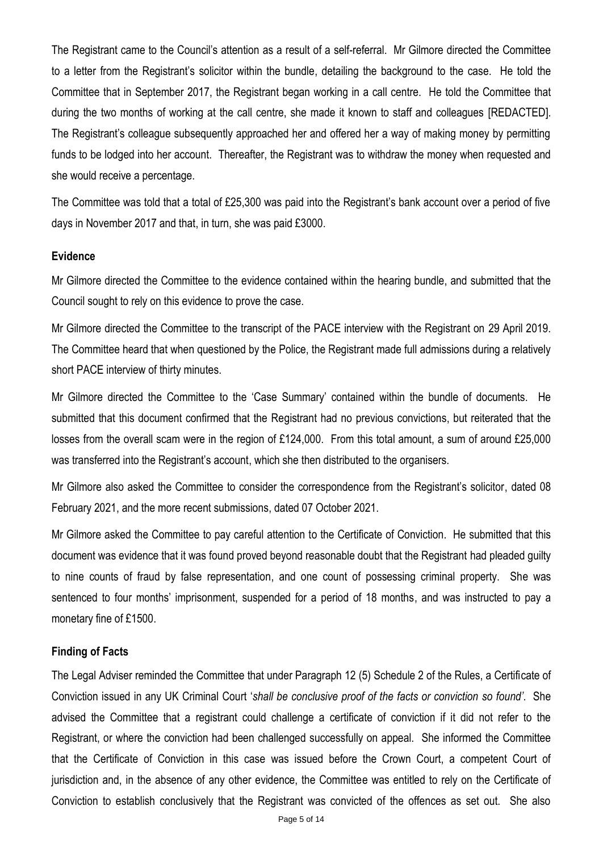The Registrant came to the Council's attention as a result of a self-referral. Mr Gilmore directed the Committee to a letter from the Registrant's solicitor within the bundle, detailing the background to the case. He told the Committee that in September 2017, the Registrant began working in a call centre. He told the Committee that during the two months of working at the call centre, she made it known to staff and colleagues [REDACTED]. The Registrant's colleague subsequently approached her and offered her a way of making money by permitting funds to be lodged into her account. Thereafter, the Registrant was to withdraw the money when requested and she would receive a percentage.

The Committee was told that a total of £25,300 was paid into the Registrant's bank account over a period of five days in November 2017 and that, in turn, she was paid £3000.

### **Evidence**

Mr Gilmore directed the Committee to the evidence contained within the hearing bundle, and submitted that the Council sought to rely on this evidence to prove the case.

Mr Gilmore directed the Committee to the transcript of the PACE interview with the Registrant on 29 April 2019. The Committee heard that when questioned by the Police, the Registrant made full admissions during a relatively short PACE interview of thirty minutes.

Mr Gilmore directed the Committee to the 'Case Summary' contained within the bundle of documents. He submitted that this document confirmed that the Registrant had no previous convictions, but reiterated that the losses from the overall scam were in the region of £124,000. From this total amount, a sum of around £25,000 was transferred into the Registrant's account, which she then distributed to the organisers.

Mr Gilmore also asked the Committee to consider the correspondence from the Registrant's solicitor, dated 08 February 2021, and the more recent submissions, dated 07 October 2021.

Mr Gilmore asked the Committee to pay careful attention to the Certificate of Conviction. He submitted that this document was evidence that it was found proved beyond reasonable doubt that the Registrant had pleaded guilty to nine counts of fraud by false representation, and one count of possessing criminal property. She was sentenced to four months' imprisonment, suspended for a period of 18 months, and was instructed to pay a monetary fine of £1500.

### **Finding of Facts**

The Legal Adviser reminded the Committee that under Paragraph 12 (5) Schedule 2 of the Rules, a Certificate of Conviction issued in any UK Criminal Court '*shall be conclusive proof of the facts or conviction so found'*. She advised the Committee that a registrant could challenge a certificate of conviction if it did not refer to the Registrant, or where the conviction had been challenged successfully on appeal. She informed the Committee that the Certificate of Conviction in this case was issued before the Crown Court, a competent Court of jurisdiction and, in the absence of any other evidence, the Committee was entitled to rely on the Certificate of Conviction to establish conclusively that the Registrant was convicted of the offences as set out. She also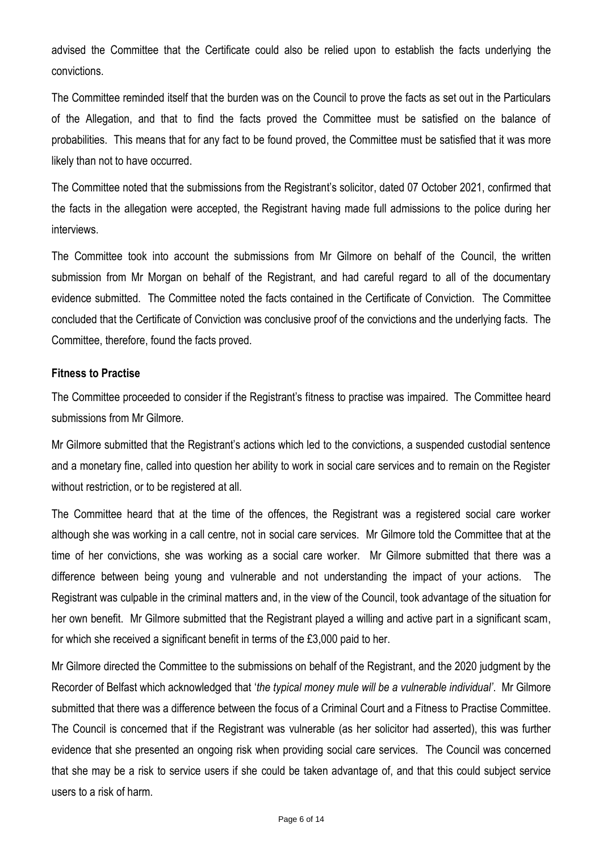advised the Committee that the Certificate could also be relied upon to establish the facts underlying the convictions.

The Committee reminded itself that the burden was on the Council to prove the facts as set out in the Particulars of the Allegation, and that to find the facts proved the Committee must be satisfied on the balance of probabilities. This means that for any fact to be found proved, the Committee must be satisfied that it was more likely than not to have occurred.

The Committee noted that the submissions from the Registrant's solicitor, dated 07 October 2021, confirmed that the facts in the allegation were accepted, the Registrant having made full admissions to the police during her interviews.

The Committee took into account the submissions from Mr Gilmore on behalf of the Council, the written submission from Mr Morgan on behalf of the Registrant, and had careful regard to all of the documentary evidence submitted. The Committee noted the facts contained in the Certificate of Conviction. The Committee concluded that the Certificate of Conviction was conclusive proof of the convictions and the underlying facts. The Committee, therefore, found the facts proved.

### **Fitness to Practise**

The Committee proceeded to consider if the Registrant's fitness to practise was impaired. The Committee heard submissions from Mr Gilmore.

Mr Gilmore submitted that the Registrant's actions which led to the convictions, a suspended custodial sentence and a monetary fine, called into question her ability to work in social care services and to remain on the Register without restriction, or to be registered at all.

The Committee heard that at the time of the offences, the Registrant was a registered social care worker although she was working in a call centre, not in social care services. Mr Gilmore told the Committee that at the time of her convictions, she was working as a social care worker. Mr Gilmore submitted that there was a difference between being young and vulnerable and not understanding the impact of your actions. The Registrant was culpable in the criminal matters and, in the view of the Council, took advantage of the situation for her own benefit. Mr Gilmore submitted that the Registrant played a willing and active part in a significant scam, for which she received a significant benefit in terms of the £3,000 paid to her.

Mr Gilmore directed the Committee to the submissions on behalf of the Registrant, and the 2020 judgment by the Recorder of Belfast which acknowledged that '*the typical money mule will be a vulnerable individual'*. Mr Gilmore submitted that there was a difference between the focus of a Criminal Court and a Fitness to Practise Committee. The Council is concerned that if the Registrant was vulnerable (as her solicitor had asserted), this was further evidence that she presented an ongoing risk when providing social care services. The Council was concerned that she may be a risk to service users if she could be taken advantage of, and that this could subject service users to a risk of harm.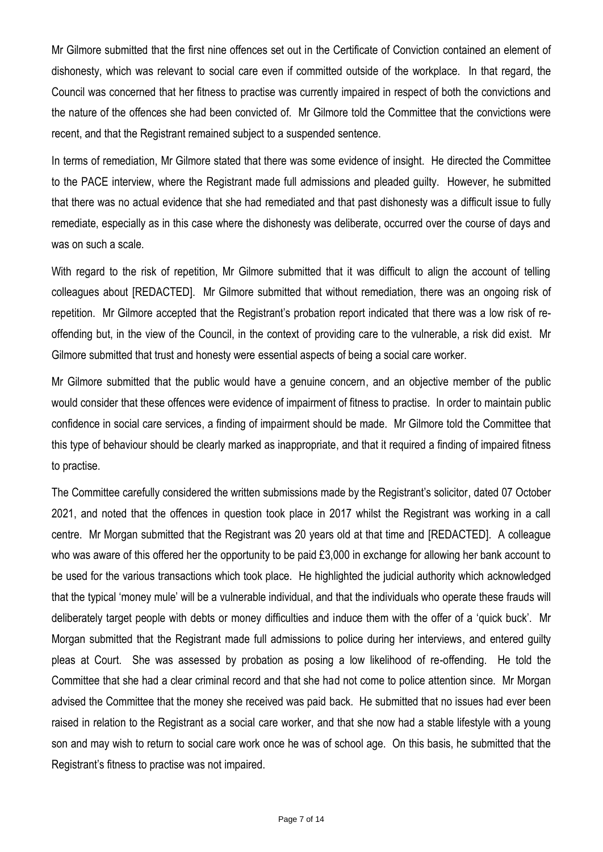Mr Gilmore submitted that the first nine offences set out in the Certificate of Conviction contained an element of dishonesty, which was relevant to social care even if committed outside of the workplace. In that regard, the Council was concerned that her fitness to practise was currently impaired in respect of both the convictions and the nature of the offences she had been convicted of. Mr Gilmore told the Committee that the convictions were recent, and that the Registrant remained subject to a suspended sentence.

In terms of remediation, Mr Gilmore stated that there was some evidence of insight. He directed the Committee to the PACE interview, where the Registrant made full admissions and pleaded guilty. However, he submitted that there was no actual evidence that she had remediated and that past dishonesty was a difficult issue to fully remediate, especially as in this case where the dishonesty was deliberate, occurred over the course of days and was on such a scale.

With regard to the risk of repetition, Mr Gilmore submitted that it was difficult to align the account of telling colleagues about [REDACTED]. Mr Gilmore submitted that without remediation, there was an ongoing risk of repetition. Mr Gilmore accepted that the Registrant's probation report indicated that there was a low risk of reoffending but, in the view of the Council, in the context of providing care to the vulnerable, a risk did exist. Mr Gilmore submitted that trust and honesty were essential aspects of being a social care worker.

Mr Gilmore submitted that the public would have a genuine concern, and an objective member of the public would consider that these offences were evidence of impairment of fitness to practise. In order to maintain public confidence in social care services, a finding of impairment should be made. Mr Gilmore told the Committee that this type of behaviour should be clearly marked as inappropriate, and that it required a finding of impaired fitness to practise.

The Committee carefully considered the written submissions made by the Registrant's solicitor, dated 07 October 2021, and noted that the offences in question took place in 2017 whilst the Registrant was working in a call centre. Mr Morgan submitted that the Registrant was 20 years old at that time and [REDACTED]. A colleague who was aware of this offered her the opportunity to be paid £3,000 in exchange for allowing her bank account to be used for the various transactions which took place. He highlighted the judicial authority which acknowledged that the typical 'money mule' will be a vulnerable individual, and that the individuals who operate these frauds will deliberately target people with debts or money difficulties and induce them with the offer of a 'quick buck'. Mr Morgan submitted that the Registrant made full admissions to police during her interviews, and entered guilty pleas at Court. She was assessed by probation as posing a low likelihood of re-offending. He told the Committee that she had a clear criminal record and that she had not come to police attention since. Mr Morgan advised the Committee that the money she received was paid back. He submitted that no issues had ever been raised in relation to the Registrant as a social care worker, and that she now had a stable lifestyle with a young son and may wish to return to social care work once he was of school age. On this basis, he submitted that the Registrant's fitness to practise was not impaired.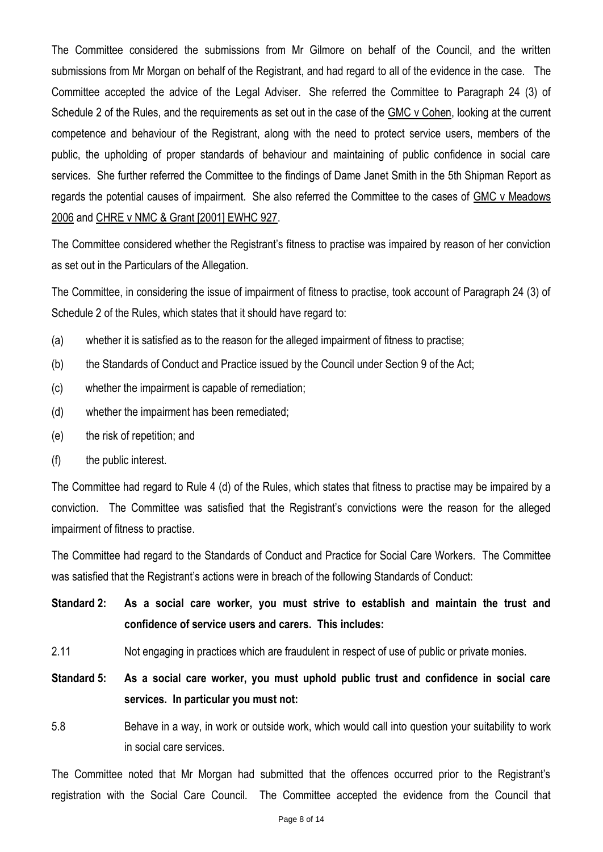The Committee considered the submissions from Mr Gilmore on behalf of the Council, and the written submissions from Mr Morgan on behalf of the Registrant, and had regard to all of the evidence in the case. The Committee accepted the advice of the Legal Adviser. She referred the Committee to Paragraph 24 (3) of Schedule 2 of the Rules, and the requirements as set out in the case of the GMC v Cohen, looking at the current competence and behaviour of the Registrant, along with the need to protect service users, members of the public, the upholding of proper standards of behaviour and maintaining of public confidence in social care services. She further referred the Committee to the findings of Dame Janet Smith in the 5th Shipman Report as regards the potential causes of impairment. She also referred the Committee to the cases of GMC v Meadows 2006 and CHRE v NMC & Grant [2001] EWHC 927.

The Committee considered whether the Registrant's fitness to practise was impaired by reason of her conviction as set out in the Particulars of the Allegation.

The Committee, in considering the issue of impairment of fitness to practise, took account of Paragraph 24 (3) of Schedule 2 of the Rules, which states that it should have regard to:

- (a) whether it is satisfied as to the reason for the alleged impairment of fitness to practise;
- (b) the Standards of Conduct and Practice issued by the Council under Section 9 of the Act;
- (c) whether the impairment is capable of remediation;
- (d) whether the impairment has been remediated;
- (e) the risk of repetition; and
- (f) the public interest.

The Committee had regard to Rule 4 (d) of the Rules, which states that fitness to practise may be impaired by a conviction. The Committee was satisfied that the Registrant's convictions were the reason for the alleged impairment of fitness to practise.

The Committee had regard to the Standards of Conduct and Practice for Social Care Workers. The Committee was satisfied that the Registrant's actions were in breach of the following Standards of Conduct:

- **Standard 2: As a social care worker, you must strive to establish and maintain the trust and confidence of service users and carers. This includes:**
- 2.11 Not engaging in practices which are fraudulent in respect of use of public or private monies.
- **Standard 5: As a social care worker, you must uphold public trust and confidence in social care services. In particular you must not:**
- 5.8 Behave in a way, in work or outside work, which would call into question your suitability to work in social care services.

The Committee noted that Mr Morgan had submitted that the offences occurred prior to the Registrant's registration with the Social Care Council. The Committee accepted the evidence from the Council that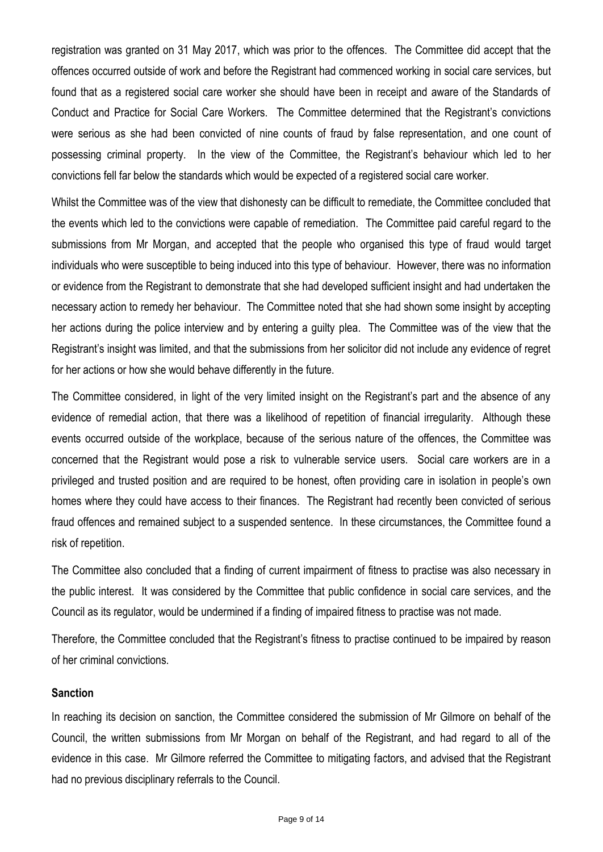registration was granted on 31 May 2017, which was prior to the offences. The Committee did accept that the offences occurred outside of work and before the Registrant had commenced working in social care services, but found that as a registered social care worker she should have been in receipt and aware of the Standards of Conduct and Practice for Social Care Workers. The Committee determined that the Registrant's convictions were serious as she had been convicted of nine counts of fraud by false representation, and one count of possessing criminal property. In the view of the Committee, the Registrant's behaviour which led to her convictions fell far below the standards which would be expected of a registered social care worker.

Whilst the Committee was of the view that dishonesty can be difficult to remediate, the Committee concluded that the events which led to the convictions were capable of remediation. The Committee paid careful regard to the submissions from Mr Morgan, and accepted that the people who organised this type of fraud would target individuals who were susceptible to being induced into this type of behaviour. However, there was no information or evidence from the Registrant to demonstrate that she had developed sufficient insight and had undertaken the necessary action to remedy her behaviour. The Committee noted that she had shown some insight by accepting her actions during the police interview and by entering a guilty plea. The Committee was of the view that the Registrant's insight was limited, and that the submissions from her solicitor did not include any evidence of regret for her actions or how she would behave differently in the future.

The Committee considered, in light of the very limited insight on the Registrant's part and the absence of any evidence of remedial action, that there was a likelihood of repetition of financial irregularity. Although these events occurred outside of the workplace, because of the serious nature of the offences, the Committee was concerned that the Registrant would pose a risk to vulnerable service users. Social care workers are in a privileged and trusted position and are required to be honest, often providing care in isolation in people's own homes where they could have access to their finances. The Registrant had recently been convicted of serious fraud offences and remained subject to a suspended sentence. In these circumstances, the Committee found a risk of repetition.

The Committee also concluded that a finding of current impairment of fitness to practise was also necessary in the public interest. It was considered by the Committee that public confidence in social care services, and the Council as its regulator, would be undermined if a finding of impaired fitness to practise was not made.

Therefore, the Committee concluded that the Registrant's fitness to practise continued to be impaired by reason of her criminal convictions.

### **Sanction**

In reaching its decision on sanction, the Committee considered the submission of Mr Gilmore on behalf of the Council, the written submissions from Mr Morgan on behalf of the Registrant, and had regard to all of the evidence in this case. Mr Gilmore referred the Committee to mitigating factors, and advised that the Registrant had no previous disciplinary referrals to the Council.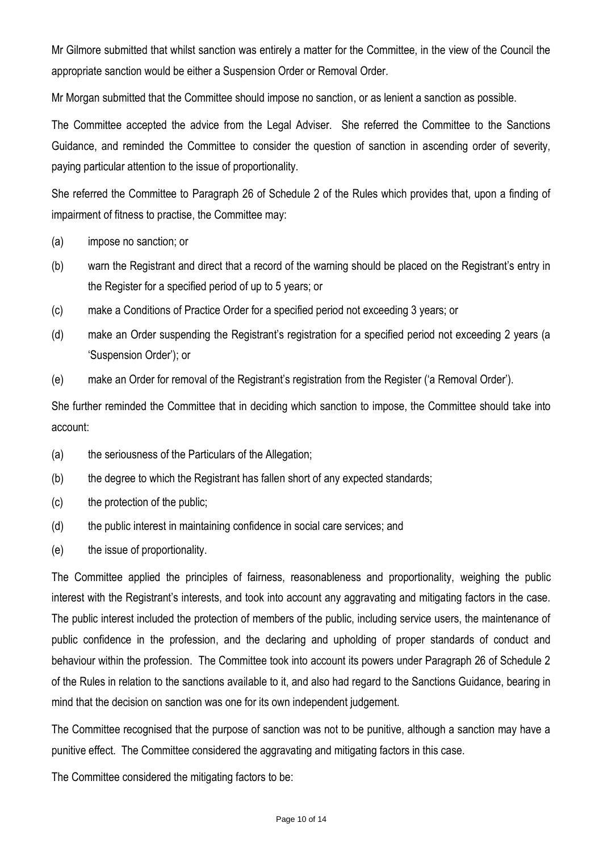Mr Gilmore submitted that whilst sanction was entirely a matter for the Committee, in the view of the Council the appropriate sanction would be either a Suspension Order or Removal Order.

Mr Morgan submitted that the Committee should impose no sanction, or as lenient a sanction as possible.

The Committee accepted the advice from the Legal Adviser. She referred the Committee to the Sanctions Guidance, and reminded the Committee to consider the question of sanction in ascending order of severity, paying particular attention to the issue of proportionality.

She referred the Committee to Paragraph 26 of Schedule 2 of the Rules which provides that, upon a finding of impairment of fitness to practise, the Committee may:

- (a) impose no sanction; or
- (b) warn the Registrant and direct that a record of the warning should be placed on the Registrant's entry in the Register for a specified period of up to 5 years; or
- (c) make a Conditions of Practice Order for a specified period not exceeding 3 years; or
- (d) make an Order suspending the Registrant's registration for a specified period not exceeding 2 years (a 'Suspension Order'); or
- (e) make an Order for removal of the Registrant's registration from the Register ('a Removal Order').

She further reminded the Committee that in deciding which sanction to impose, the Committee should take into account:

- (a) the seriousness of the Particulars of the Allegation;
- (b) the degree to which the Registrant has fallen short of any expected standards;
- (c) the protection of the public;
- (d) the public interest in maintaining confidence in social care services; and
- (e) the issue of proportionality.

The Committee applied the principles of fairness, reasonableness and proportionality, weighing the public interest with the Registrant's interests, and took into account any aggravating and mitigating factors in the case. The public interest included the protection of members of the public, including service users, the maintenance of public confidence in the profession, and the declaring and upholding of proper standards of conduct and behaviour within the profession. The Committee took into account its powers under Paragraph 26 of Schedule 2 of the Rules in relation to the sanctions available to it, and also had regard to the Sanctions Guidance, bearing in mind that the decision on sanction was one for its own independent judgement.

The Committee recognised that the purpose of sanction was not to be punitive, although a sanction may have a punitive effect. The Committee considered the aggravating and mitigating factors in this case.

The Committee considered the mitigating factors to be: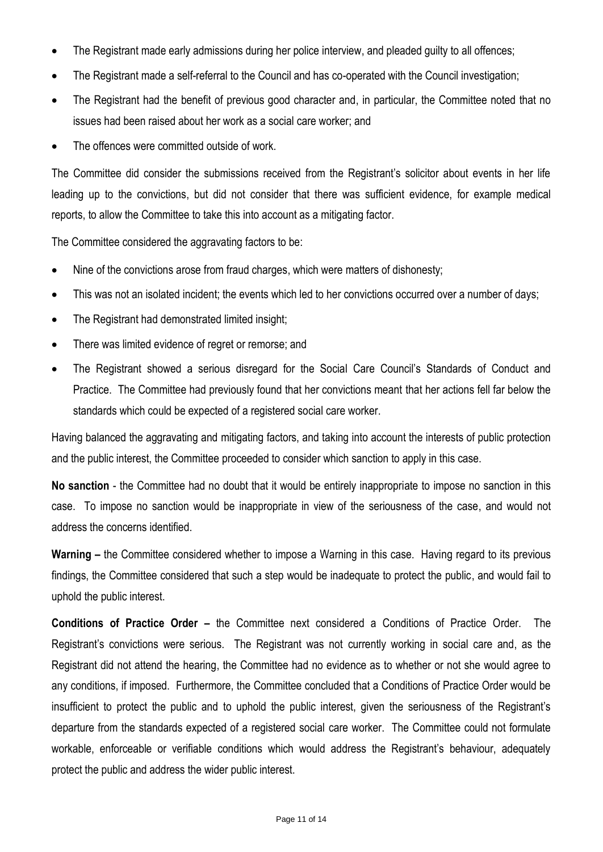- The Registrant made early admissions during her police interview, and pleaded guilty to all offences;
- The Registrant made a self-referral to the Council and has co-operated with the Council investigation;
- The Registrant had the benefit of previous good character and, in particular, the Committee noted that no issues had been raised about her work as a social care worker; and
- The offences were committed outside of work.

The Committee did consider the submissions received from the Registrant's solicitor about events in her life leading up to the convictions, but did not consider that there was sufficient evidence, for example medical reports, to allow the Committee to take this into account as a mitigating factor.

The Committee considered the aggravating factors to be:

- Nine of the convictions arose from fraud charges, which were matters of dishonesty;
- This was not an isolated incident; the events which led to her convictions occurred over a number of days;
- The Registrant had demonstrated limited insight;
- There was limited evidence of regret or remorse; and
- The Registrant showed a serious disregard for the Social Care Council's Standards of Conduct and Practice. The Committee had previously found that her convictions meant that her actions fell far below the standards which could be expected of a registered social care worker.

Having balanced the aggravating and mitigating factors, and taking into account the interests of public protection and the public interest, the Committee proceeded to consider which sanction to apply in this case.

**No sanction** - the Committee had no doubt that it would be entirely inappropriate to impose no sanction in this case. To impose no sanction would be inappropriate in view of the seriousness of the case, and would not address the concerns identified.

**Warning –** the Committee considered whether to impose a Warning in this case. Having regard to its previous findings, the Committee considered that such a step would be inadequate to protect the public, and would fail to uphold the public interest.

**Conditions of Practice Order –** the Committee next considered a Conditions of Practice Order. The Registrant's convictions were serious. The Registrant was not currently working in social care and, as the Registrant did not attend the hearing, the Committee had no evidence as to whether or not she would agree to any conditions, if imposed. Furthermore, the Committee concluded that a Conditions of Practice Order would be insufficient to protect the public and to uphold the public interest, given the seriousness of the Registrant's departure from the standards expected of a registered social care worker. The Committee could not formulate workable, enforceable or verifiable conditions which would address the Registrant's behaviour, adequately protect the public and address the wider public interest.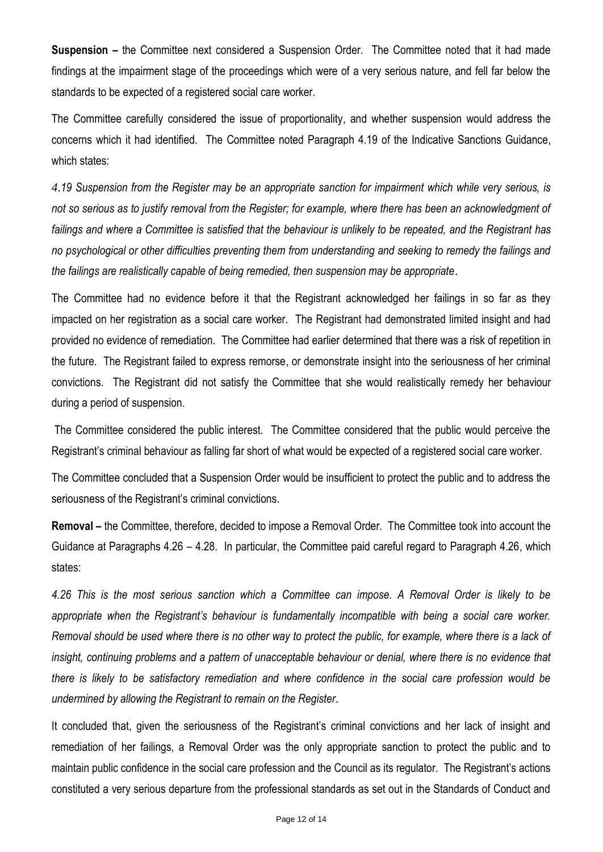**Suspension –** the Committee next considered a Suspension Order. The Committee noted that it had made findings at the impairment stage of the proceedings which were of a very serious nature, and fell far below the standards to be expected of a registered social care worker.

The Committee carefully considered the issue of proportionality, and whether suspension would address the concerns which it had identified. The Committee noted Paragraph 4.19 of the Indicative Sanctions Guidance, which states:

*4*.*19 Suspension from the Register may be an appropriate sanction for impairment which while very serious, is not so serious as to justify removal from the Register; for example, where there has been an acknowledgment of failings and where a Committee is satisfied that the behaviour is unlikely to be repeated, and the Registrant has no psychological or other difficulties preventing them from understanding and seeking to remedy the failings and the failings are realistically capable of being remedied, then suspension may be appropriate*.

The Committee had no evidence before it that the Registrant acknowledged her failings in so far as they impacted on her registration as a social care worker. The Registrant had demonstrated limited insight and had provided no evidence of remediation. The Committee had earlier determined that there was a risk of repetition in the future. The Registrant failed to express remorse, or demonstrate insight into the seriousness of her criminal convictions. The Registrant did not satisfy the Committee that she would realistically remedy her behaviour during a period of suspension.

The Committee considered the public interest. The Committee considered that the public would perceive the Registrant's criminal behaviour as falling far short of what would be expected of a registered social care worker.

The Committee concluded that a Suspension Order would be insufficient to protect the public and to address the seriousness of the Registrant's criminal convictions.

**Removal** – the Committee, therefore, decided to impose a Removal Order. The Committee took into account the Guidance at Paragraphs 4.26 – 4.28. In particular, the Committee paid careful regard to Paragraph 4.26, which states:

*4.26 This is the most serious sanction which a Committee can impose. A Removal Order is likely to be appropriate when the Registrant's behaviour is fundamentally incompatible with being a social care worker. Removal should be used where there is no other way to protect the public, for example, where there is a lack of*  insight, continuing problems and a pattern of unacceptable behaviour or denial, where there is no evidence that *there is likely to be satisfactory remediation and where confidence in the social care profession would be undermined by allowing the Registrant to remain on the Register*.

It concluded that, given the seriousness of the Registrant's criminal convictions and her lack of insight and remediation of her failings, a Removal Order was the only appropriate sanction to protect the public and to maintain public confidence in the social care profession and the Council as its regulator. The Registrant's actions constituted a very serious departure from the professional standards as set out in the Standards of Conduct and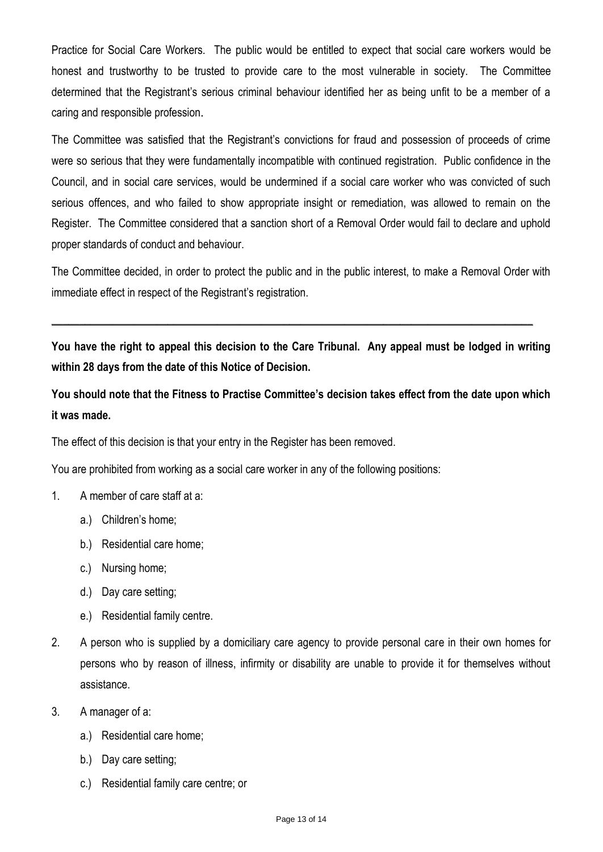Practice for Social Care Workers. The public would be entitled to expect that social care workers would be honest and trustworthy to be trusted to provide care to the most vulnerable in society. The Committee determined that the Registrant's serious criminal behaviour identified her as being unfit to be a member of a caring and responsible profession.

The Committee was satisfied that the Registrant's convictions for fraud and possession of proceeds of crime were so serious that they were fundamentally incompatible with continued registration. Public confidence in the Council, and in social care services, would be undermined if a social care worker who was convicted of such serious offences, and who failed to show appropriate insight or remediation, was allowed to remain on the Register. The Committee considered that a sanction short of a Removal Order would fail to declare and uphold proper standards of conduct and behaviour.

The Committee decided, in order to protect the public and in the public interest, to make a Removal Order with immediate effect in respect of the Registrant's registration.

**You have the right to appeal this decision to the Care Tribunal. Any appeal must be lodged in writing within 28 days from the date of this Notice of Decision.**

 $\_$  , and the set of the set of the set of the set of the set of the set of the set of the set of the set of the set of the set of the set of the set of the set of the set of the set of the set of the set of the set of th

**You should note that the Fitness to Practise Committee's decision takes effect from the date upon which it was made.**

The effect of this decision is that your entry in the Register has been removed.

You are prohibited from working as a social care worker in any of the following positions:

- 1. A member of care staff at a:
	- a.) Children's home;
	- b.) Residential care home;
	- c.) Nursing home;
	- d.) Day care setting;
	- e.) Residential family centre.
- 2. A person who is supplied by a domiciliary care agency to provide personal care in their own homes for persons who by reason of illness, infirmity or disability are unable to provide it for themselves without assistance.
- 3. A manager of a:
	- a.) Residential care home;
	- b.) Day care setting;
	- c.) Residential family care centre; or